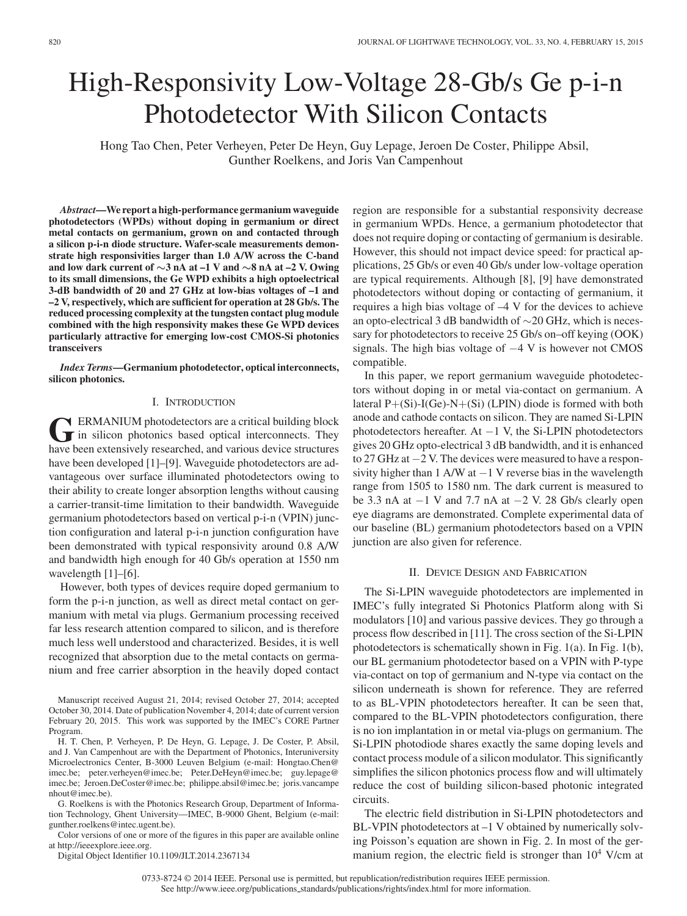# High-Responsivity Low-Voltage 28-Gb/s Ge p-i-n Photodetector With Silicon Contacts

Hong Tao Chen, Peter Verheyen, Peter De Heyn, Guy Lepage, Jeroen De Coster, Philippe Absil, Gunther Roelkens, and Joris Van Campenhout

*Abstract***—We report a high-performance germanium waveguide photodetectors (WPDs) without doping in germanium or direct metal contacts on germanium, grown on and contacted through a silicon p-i-n diode structure. Wafer-scale measurements demonstrate high responsivities larger than 1.0 A/W across the C-band and low dark current of** *∼***3 nA at –1 V and** *∼***8 nA at –2 V. Owing to its small dimensions, the Ge WPD exhibits a high optoelectrical 3-dB bandwidth of 20 and 27 GHz at low-bias voltages of –1 and –2 V, respectively, which are sufficient for operation at 28 Gb/s. The reduced processing complexity at the tungsten contact plug module combined with the high responsivity makes these Ge WPD devices particularly attractive for emerging low-cost CMOS-Si photonics transceivers**

*Index Terms***—Germanium photodetector, optical interconnects, silicon photonics.**

## I. INTRODUCTION

GERMANIUM photodetectors are a critical building block<br>in silicon photonics based optical interconnects. They<br>have been extensively recepted and verious davice structures have been extensively researched, and various device structures have been developed [1]–[9]. Waveguide photodetectors are advantageous over surface illuminated photodetectors owing to their ability to create longer absorption lengths without causing a carrier-transit-time limitation to their bandwidth. Waveguide germanium photodetectors based on vertical p-i-n (VPIN) junction configuration and lateral p-i-n junction configuration have been demonstrated with typical responsivity around 0.8 A/W and bandwidth high enough for 40 Gb/s operation at 1550 nm wavelength  $[1]$ – $[6]$ .

However, both types of devices require doped germanium to form the p-i-n junction, as well as direct metal contact on germanium with metal via plugs. Germanium processing received far less research attention compared to silicon, and is therefore much less well understood and characterized. Besides, it is well recognized that absorption due to the metal contacts on germanium and free carrier absorption in the heavily doped contact

G. Roelkens is with the Photonics Research Group, Department of Information Technology, Ghent University—IMEC, B-9000 Ghent, Belgium (e-mail: gunther.roelkens@intec.ugent.be).

Color versions of one or more of the figures in this paper are available online at http://ieeexplore.ieee.org.

Digital Object Identifier 10.1109/JLT.2014.2367134

region are responsible for a substantial responsivity decrease in germanium WPDs. Hence, a germanium photodetector that does not require doping or contacting of germanium is desirable. However, this should not impact device speed: for practical applications, 25 Gb/s or even 40 Gb/s under low-voltage operation are typical requirements. Although [8], [9] have demonstrated photodetectors without doping or contacting of germanium, it requires a high bias voltage of –4 V for the devices to achieve an opto-electrical 3 dB bandwidth of ∼20 GHz, which is necessary for photodetectors to receive 25 Gb/s on–off keying (OOK) signals. The high bias voltage of −4 V is however not CMOS compatible.

In this paper, we report germanium waveguide photodetectors without doping in or metal via-contact on germanium. A lateral  $P+(Si)-I(Ge)-N+(Si)$  (LPIN) diode is formed with both anode and cathode contacts on silicon. They are named Si-LPIN photodetectors hereafter. At −1 V, the Si-LPIN photodetectors gives 20 GHz opto-electrical 3 dB bandwidth, and it is enhanced to 27 GHz at −2 V. The devices were measured to have a responsivity higher than 1 A/W at  $-1$  V reverse bias in the wavelength range from 1505 to 1580 nm. The dark current is measured to be 3.3 nA at −1 V and 7.7 nA at −2 V. 28 Gb/s clearly open eye diagrams are demonstrated. Complete experimental data of our baseline (BL) germanium photodetectors based on a VPIN junction are also given for reference.

### II. DEVICE DESIGN AND FABRICATION

The Si-LPIN waveguide photodetectors are implemented in IMEC's fully integrated Si Photonics Platform along with Si modulators [10] and various passive devices. They go through a process flow described in [11]. The cross section of the Si-LPIN photodetectors is schematically shown in Fig. 1(a). In Fig. 1(b), our BL germanium photodetector based on a VPIN with P-type via-contact on top of germanium and N-type via contact on the silicon underneath is shown for reference. They are referred to as BL-VPIN photodetectors hereafter. It can be seen that, compared to the BL-VPIN photodetectors configuration, there is no ion implantation in or metal via-plugs on germanium. The Si-LPIN photodiode shares exactly the same doping levels and contact process module of a silicon modulator. This significantly simplifies the silicon photonics process flow and will ultimately reduce the cost of building silicon-based photonic integrated circuits.

The electric field distribution in Si-LPIN photodetectors and BL-VPIN photodetectors at –1 V obtained by numerically solving Poisson's equation are shown in Fig. 2. In most of the germanium region, the electric field is stronger than  $10^4$  V/cm at

Manuscript received August 21, 2014; revised October 27, 2014; accepted October 30, 2014. Date of publication November 4, 2014; date of current version February 20, 2015. This work was supported by the IMEC's CORE Partner Program.

H. T. Chen, P. Verheyen, P. De Heyn, G. Lepage, J. De Coster, P. Absil, and J. Van Campenhout are with the Department of Photonics, Interuniversity Microelectronics Center, B-3000 Leuven Belgium (e-mail: Hongtao.Chen@ imec.be; peter.verheyen@imec.be; Peter.DeHeyn@imec.be; guy.lepage@ imec.be; Jeroen.DeCoster@imec.be; philippe.absil@imec.be; joris.vancampe nhout@imec.be).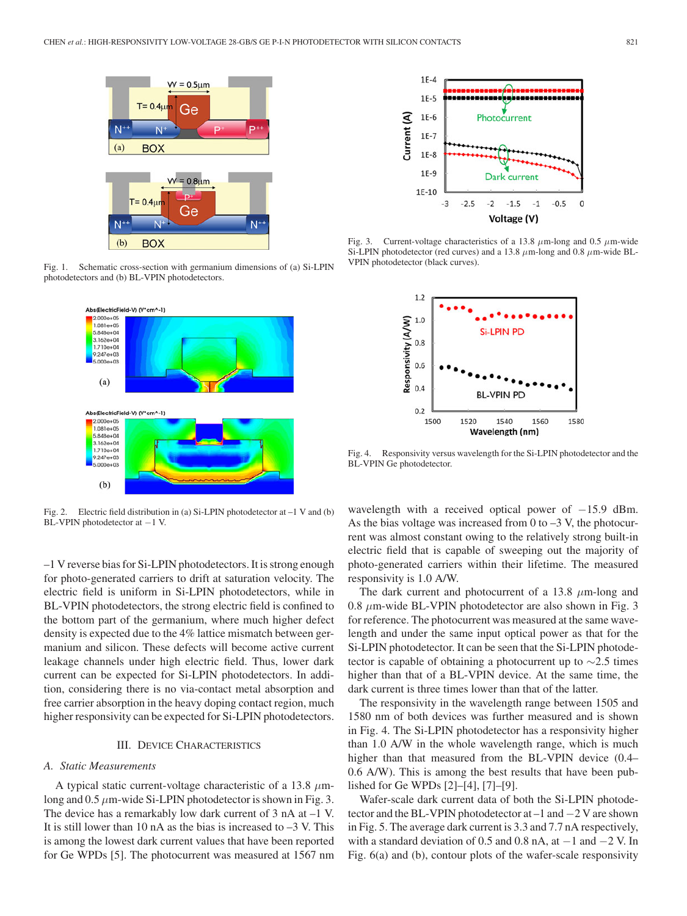

Fig. 1. Schematic cross-section with germanium dimensions of (a) Si-LPIN photodetectors and (b) BL-VPIN photodetectors.



Fig. 2. Electric field distribution in (a) Si-LPIN photodetector at –1 V and (b) BL-VPIN photodetector at −1 V.

–1 V reverse bias for Si-LPIN photodetectors. It is strong enough for photo-generated carriers to drift at saturation velocity. The electric field is uniform in Si-LPIN photodetectors, while in BL-VPIN photodetectors, the strong electric field is confined to the bottom part of the germanium, where much higher defect density is expected due to the 4% lattice mismatch between germanium and silicon. These defects will become active current leakage channels under high electric field. Thus, lower dark current can be expected for Si-LPIN photodetectors. In addition, considering there is no via-contact metal absorption and free carrier absorption in the heavy doping contact region, much higher responsivity can be expected for Si-LPIN photodetectors.

### III. DEVICE CHARACTERISTICS

#### *A. Static Measurements*

A typical static current-voltage characteristic of a 13.8  $\mu$ mlong and  $0.5 \mu$ m-wide Si-LPIN photodetector is shown in Fig. 3. The device has a remarkably low dark current of 3 nA at –1 V. It is still lower than 10 nA as the bias is increased to  $-3$  V. This is among the lowest dark current values that have been reported for Ge WPDs [5]. The photocurrent was measured at 1567 nm



Fig. 3. Current-voltage characteristics of a 13.8  $\mu$ m-long and 0.5  $\mu$ m-wide Si-LPIN photodetector (red curves) and a 13.8  $\mu$ m-long and 0.8  $\mu$ m-wide BL-VPIN photodetector (black curves).



Fig. 4. Responsivity versus wavelength for the Si-LPIN photodetector and the BL-VPIN Ge photodetector.

wavelength with a received optical power of  $-15.9$  dBm. As the bias voltage was increased from  $0$  to  $-3$  V, the photocurrent was almost constant owing to the relatively strong built-in electric field that is capable of sweeping out the majority of photo-generated carriers within their lifetime. The measured responsivity is 1.0 A/W.

The dark current and photocurrent of a 13.8  $\mu$ m-long and 0.8  $\mu$ m-wide BL-VPIN photodetector are also shown in Fig. 3 for reference. The photocurrent was measured at the same wavelength and under the same input optical power as that for the Si-LPIN photodetector. It can be seen that the Si-LPIN photodetector is capable of obtaining a photocurrent up to  $\sim$ 2.5 times higher than that of a BL-VPIN device. At the same time, the dark current is three times lower than that of the latter.

The responsivity in the wavelength range between 1505 and 1580 nm of both devices was further measured and is shown in Fig. 4. The Si-LPIN photodetector has a responsivity higher than 1.0 A/W in the whole wavelength range, which is much higher than that measured from the BL-VPIN device (0.4– 0.6 A/W). This is among the best results that have been published for Ge WPDs [2]–[4], [7]–[9].

Wafer-scale dark current data of both the Si-LPIN photodetector and the BL-VPIN photodetector at –1 and −2 V are shown in Fig. 5. The average dark current is 3.3 and 7.7 nA respectively, with a standard deviation of 0.5 and 0.8 nA, at  $-1$  and  $-2$  V. In Fig. 6(a) and (b), contour plots of the wafer-scale responsivity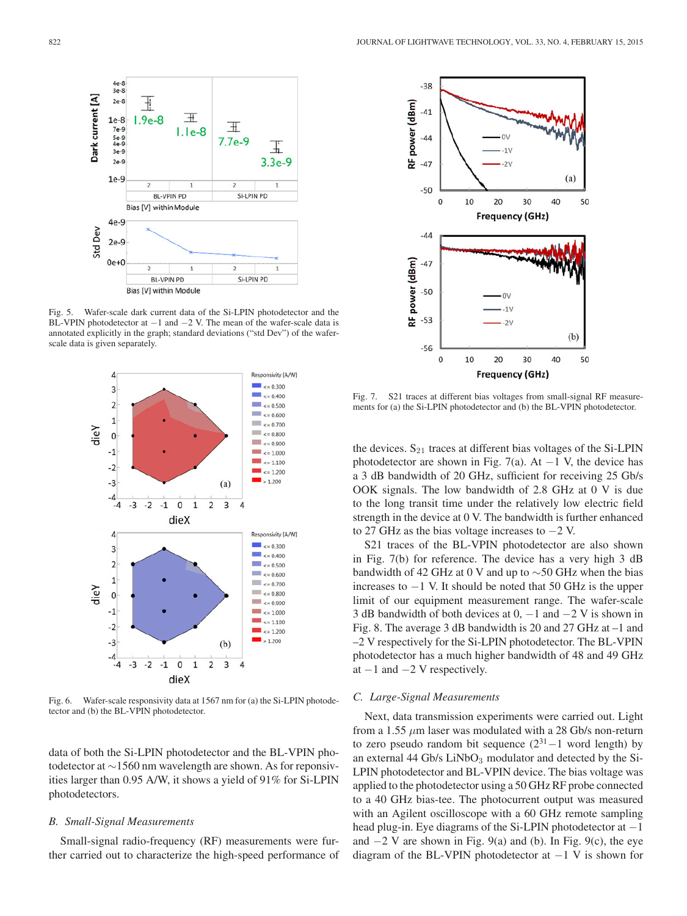

Fig. 5. Wafer-scale dark current data of the Si-LPIN photodetector and the BL-VPIN photodetector at  $-1$  and  $-2$  V. The mean of the wafer-scale data is annotated explicitly in the graph; standard deviations ("std Dev") of the waferscale data is given separately.



Fig. 6. Wafer-scale responsivity data at 1567 nm for (a) the Si-LPIN photodetector and (b) the BL-VPIN photodetector.

data of both the Si-LPIN photodetector and the BL-VPIN photodetector at ∼1560 nm wavelength are shown. As for reponsivities larger than 0.95 A/W, it shows a yield of 91% for Si-LPIN photodetectors.

# *B. Small-Signal Measurements*

Small-signal radio-frequency (RF) measurements were further carried out to characterize the high-speed performance of



Fig. 7. S21 traces at different bias voltages from small-signal RF measurements for (a) the Si-LPIN photodetector and (b) the BL-VPIN photodetector.

the devices.  $S_{21}$  traces at different bias voltages of the Si-LPIN photodetector are shown in Fig. 7(a). At  $-1$  V, the device has a 3 dB bandwidth of 20 GHz, sufficient for receiving 25 Gb/s OOK signals. The low bandwidth of 2.8 GHz at 0 V is due to the long transit time under the relatively low electric field strength in the device at 0 V. The bandwidth is further enhanced to 27 GHz as the bias voltage increases to −2 V.

S21 traces of the BL-VPIN photodetector are also shown in Fig. 7(b) for reference. The device has a very high 3 dB bandwidth of 42 GHz at 0 V and up to ∼50 GHz when the bias increases to −1 V. It should be noted that 50 GHz is the upper limit of our equipment measurement range. The wafer-scale 3 dB bandwidth of both devices at  $0, -1$  and  $-2$  V is shown in Fig. 8. The average 3 dB bandwidth is 20 and 27 GHz at –1 and –2 V respectively for the Si-LPIN photodetector. The BL-VPIN photodetector has a much higher bandwidth of 48 and 49 GHz at  $-1$  and  $-2$  V respectively.

#### *C. Large-Signal Measurements*

Next, data transmission experiments were carried out. Light from a 1.55  $\mu$ m laser was modulated with a 28 Gb/s non-return to zero pseudo random bit sequence  $(2^{31} - 1$  word length) by an external 44 Gb/s  $LiNbO<sub>3</sub>$  modulator and detected by the Si-LPIN photodetector and BL-VPIN device. The bias voltage was applied to the photodetector using a 50 GHz RF probe connected to a 40 GHz bias-tee. The photocurrent output was measured with an Agilent oscilloscope with a 60 GHz remote sampling head plug-in. Eye diagrams of the Si-LPIN photodetector at −1 and  $-2$  V are shown in Fig. 9(a) and (b). In Fig. 9(c), the eye diagram of the BL-VPIN photodetector at  $-1$  V is shown for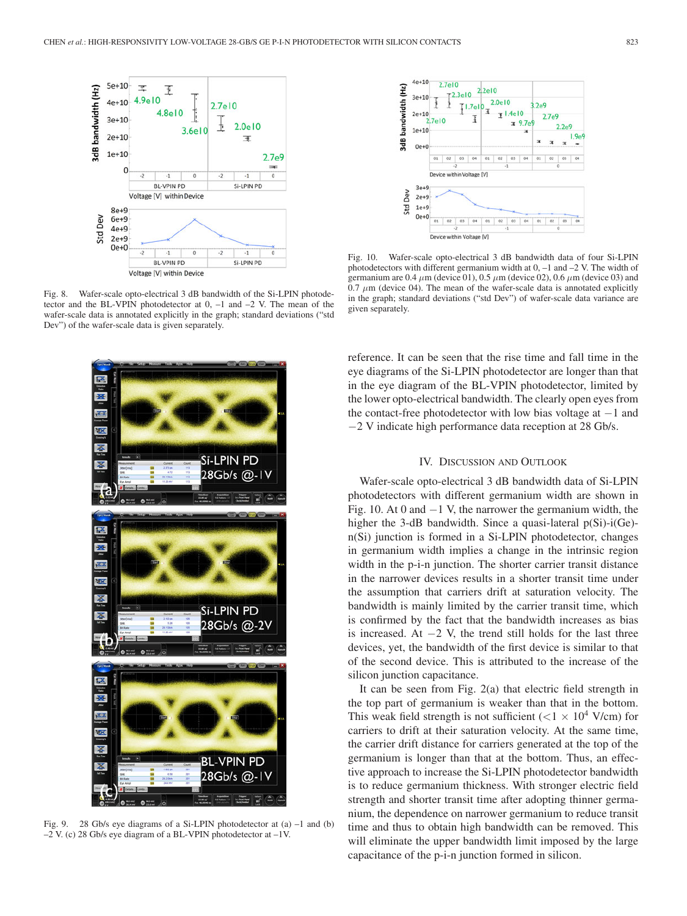

Fig. 8. Wafer-scale opto-electrical 3 dB bandwidth of the Si-LPIN photodetector and the BL-VPIN photodetector at 0, –1 and –2 V. The mean of the wafer-scale data is annotated explicitly in the graph; standard deviations ("std Dev") of the wafer-scale data is given separately.



Fig. 9. 28 Gb/s eye diagrams of a Si-LPIN photodetector at (a) –1 and (b) –2 V. (c) 28 Gb/s eye diagram of a BL-VPIN photodetector at –1V.



Fig. 10. Wafer-scale opto-electrical 3 dB bandwidth data of four Si-LPIN photodetectors with different germanium width at  $0$ ,  $-1$  and  $-2$  V. The width of germanium are 0.4  $\mu$ m (device 01), 0.5  $\mu$ m (device 02), 0.6  $\mu$ m (device 03) and  $0.7 \mu$ m (device 04). The mean of the wafer-scale data is annotated explicitly in the graph; standard deviations ("std Dev") of wafer-scale data variance are given separately.

reference. It can be seen that the rise time and fall time in the eye diagrams of the Si-LPIN photodetector are longer than that in the eye diagram of the BL-VPIN photodetector, limited by the lower opto-electrical bandwidth. The clearly open eyes from the contact-free photodetector with low bias voltage at −1 and −2 V indicate high performance data reception at 28 Gb/s.

# IV. DISCUSSION AND OUTLOOK

Wafer-scale opto-electrical 3 dB bandwidth data of Si-LPIN photodetectors with different germanium width are shown in Fig. 10. At 0 and  $-1$  V, the narrower the germanium width, the higher the 3-dB bandwidth. Since a quasi-lateral p(Si)-i(Ge)n(Si) junction is formed in a Si-LPIN photodetector, changes in germanium width implies a change in the intrinsic region width in the p-i-n junction. The shorter carrier transit distance in the narrower devices results in a shorter transit time under the assumption that carriers drift at saturation velocity. The bandwidth is mainly limited by the carrier transit time, which is confirmed by the fact that the bandwidth increases as bias is increased. At  $-2$  V, the trend still holds for the last three devices, yet, the bandwidth of the first device is similar to that of the second device. This is attributed to the increase of the silicon junction capacitance.

It can be seen from Fig. 2(a) that electric field strength in the top part of germanium is weaker than that in the bottom. This weak field strength is not sufficient ( $<$ 1  $\times$  10<sup>4</sup> V/cm) for carriers to drift at their saturation velocity. At the same time, the carrier drift distance for carriers generated at the top of the germanium is longer than that at the bottom. Thus, an effective approach to increase the Si-LPIN photodetector bandwidth is to reduce germanium thickness. With stronger electric field strength and shorter transit time after adopting thinner germanium, the dependence on narrower germanium to reduce transit time and thus to obtain high bandwidth can be removed. This will eliminate the upper bandwidth limit imposed by the large capacitance of the p-i-n junction formed in silicon.